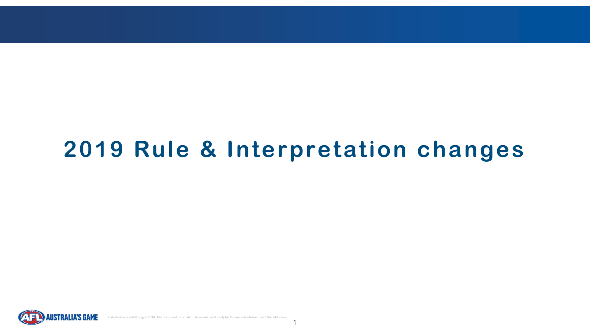

# **2019 Rule & Interpretation changes**

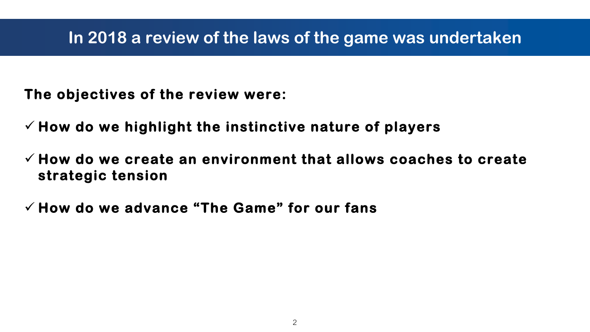- **The objectives of the review were:**
- ✓ **How do we highlight the instinctive nature of players**
- ✓ **How do we create an environment that allows coaches to create strategic tension**
- ✓ **How do we advance "The Game" for our fans**

#### **In 2018 a review of the laws of the game was undertaken**

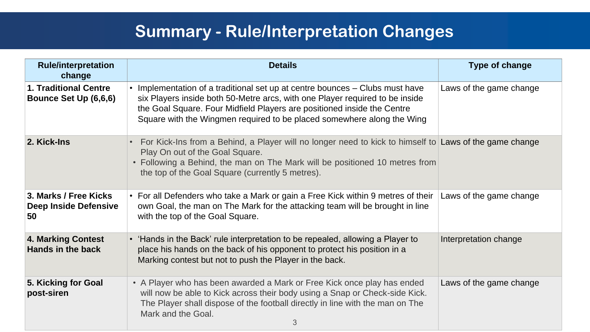| <b>Rule/interpretation</b><br>change                         | <b>Details</b>                                                                                                                                                                                                                                                                                                  | <b>Type of change</b>   |
|--------------------------------------------------------------|-----------------------------------------------------------------------------------------------------------------------------------------------------------------------------------------------------------------------------------------------------------------------------------------------------------------|-------------------------|
| <b>1. Traditional Centre</b><br><b>Bounce Set Up (6,6,6)</b> | Implementation of a traditional set up at centre bounces – Clubs must have<br>six Players inside both 50-Metre arcs, with one Player required to be inside<br>the Goal Square. Four Midfield Players are positioned inside the Centre<br>Square with the Wingmen required to be placed somewhere along the Wing | Laws of the game change |
| 2. Kick-Ins                                                  | • For Kick-Ins from a Behind, a Player will no longer need to kick to himself to Laws of the game change<br>Play On out of the Goal Square.<br>• Following a Behind, the man on The Mark will be positioned 10 metres from<br>the top of the Goal Square (currently 5 metres).                                  |                         |
| 3. Marks / Free Kicks<br><b>Deep Inside Defensive</b><br>50  | For all Defenders who take a Mark or gain a Free Kick within 9 metres of their   Laws of the game change<br>own Goal, the man on The Mark for the attacking team will be brought in line<br>with the top of the Goal Square.                                                                                    |                         |
| 4. Marking Contest<br>Hands in the back                      | • 'Hands in the Back' rule interpretation to be repealed, allowing a Player to<br>place his hands on the back of his opponent to protect his position in a<br>Marking contest but not to push the Player in the back.                                                                                           | Interpretation change   |
| 5. Kicking for Goal<br>post-siren                            | • A Player who has been awarded a Mark or Free Kick once play has ended<br>will now be able to Kick across their body using a Snap or Check-side Kick.<br>The Player shall dispose of the football directly in line with the man on The<br>Mark and the Goal.<br>3                                              | Laws of the game change |



#### **Summary - Rule/Interpretation Changes**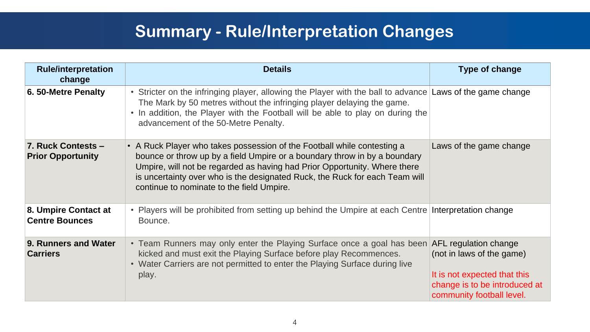| <b>Rule/interpretation</b><br>change           | <b>Details</b>                                                                                                                                                                                                                                                                                                                                                | <b>Type of change</b>                                                                                                                            |
|------------------------------------------------|---------------------------------------------------------------------------------------------------------------------------------------------------------------------------------------------------------------------------------------------------------------------------------------------------------------------------------------------------------------|--------------------------------------------------------------------------------------------------------------------------------------------------|
| 6.50-Metre Penalty                             | • Stricter on the infringing player, allowing the Player with the ball to advance Laws of the game change<br>The Mark by 50 metres without the infringing player delaying the game.<br>. In addition, the Player with the Football will be able to play on during the<br>advancement of the 50-Metre Penalty.                                                 |                                                                                                                                                  |
| 7. Ruck Contests -<br><b>Prior Opportunity</b> | • A Ruck Player who takes possession of the Football while contesting a<br>bounce or throw up by a field Umpire or a boundary throw in by a boundary<br>Umpire, will not be regarded as having had Prior Opportunity. Where there<br>is uncertainty over who is the designated Ruck, the Ruck for each Team will<br>continue to nominate to the field Umpire. | Laws of the game change                                                                                                                          |
| 8. Umpire Contact at<br><b>Centre Bounces</b>  | • Players will be prohibited from setting up behind the Umpire at each Centre Interpretation change<br>Bounce.                                                                                                                                                                                                                                                |                                                                                                                                                  |
| 9. Runners and Water<br><b>Carriers</b>        | • Team Runners may only enter the Playing Surface once a goal has been<br>kicked and must exit the Playing Surface before play Recommences.<br>• Water Carriers are not permitted to enter the Playing Surface during live<br>play.                                                                                                                           | AFL regulation change<br>(not in laws of the game)<br>It is not expected that this<br>change is to be introduced at<br>community football level. |

#### **Summary - Rule/Interpretation Changes**

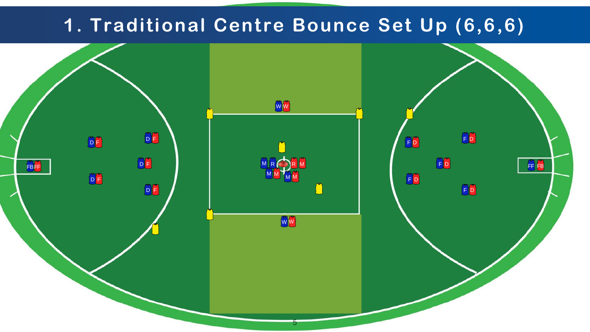

# **1. Traditional Centre Bounce Set Up (6,6,6)**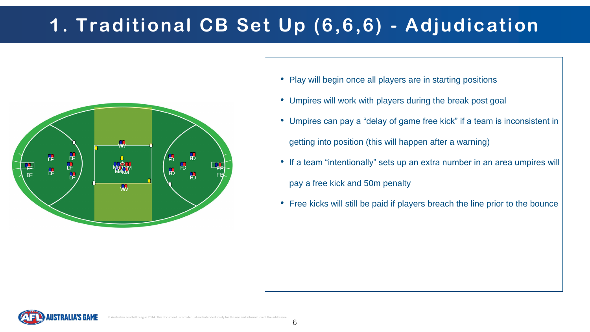# **1. Traditional CB Set Up (6,6,6) - Adjudication**





- Play will begin once all players are in starting positions
- Umpires will work with players during the break post goal
- Umpires can pay a "delay of game free kick" if a team is inconsistent in getting into position (this will happen after a warning)
- If a team "intentionally" sets up an extra number in an area umpires will pay a free kick and 50m penalty
- Free kicks will still be paid if players breach the line prior to the bounce

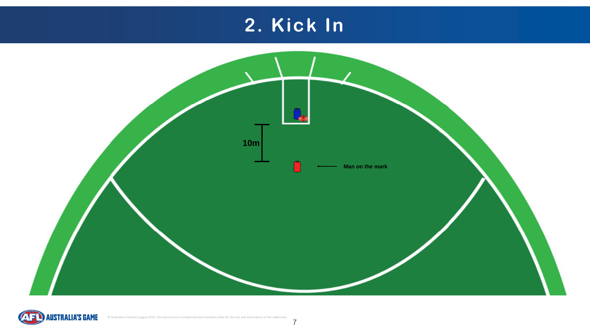# **2. Kick In**





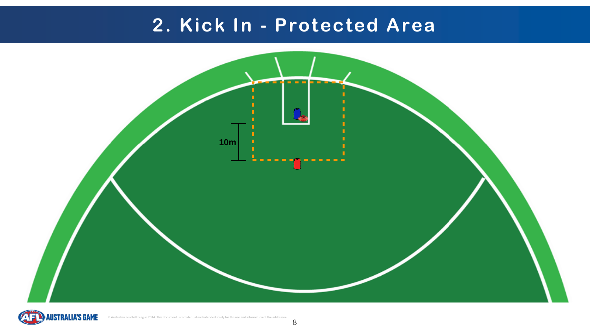#### **2. Kick In - Protected Area**



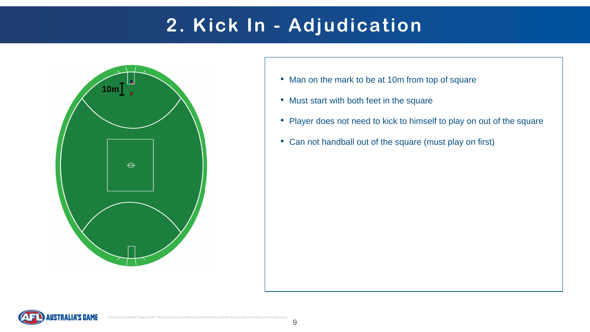# **2. Kick In - Adjudication**





- Man on the mark to be at 10m from top of square
- Must start with both feet in the square
- Player does not need to kick to himself to play on out of the square
- Can not handball out of the square (must play on first)

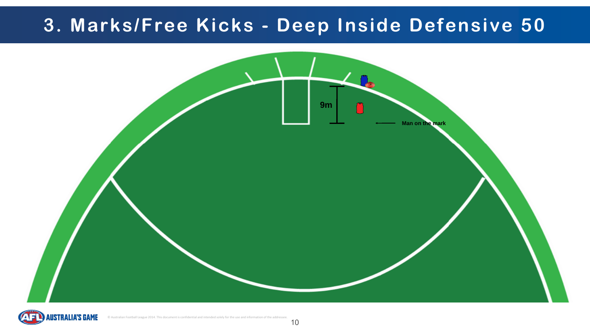### **3. Marks/Free Kicks - Deep Inside Defensive 50**



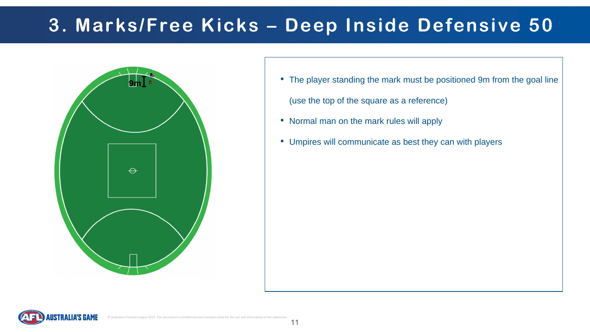



## **3. Marks/Free Kicks – Deep Inside Defensive 50**

- **9m •** The player standing the mark must be positioned 9m from the goal line (use the top of the square as a reference)
	- Normal man on the mark rules will apply
	- Umpires will communicate as best they can with players

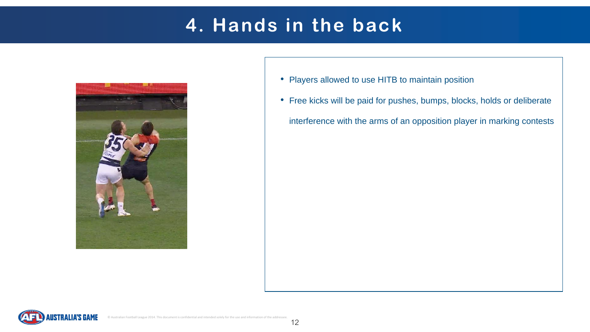## **4. Hands in the back**





- Players allowed to use HITB to maintain position
- Free kicks will be paid for pushes, bumps, blocks, holds or deliberate interference with the arms of an opposition player in marking contests

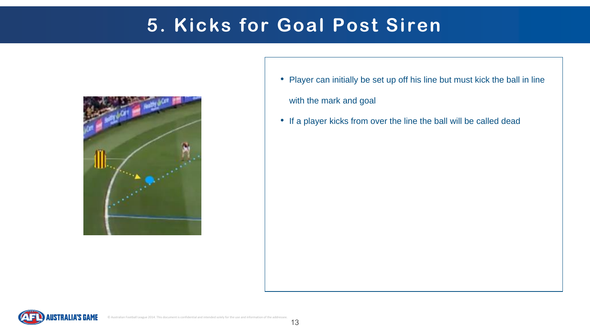



- Player can initially be set up off his line but must kick the ball in line with the mark and goal
- If a player kicks from over the line the ball will be called dead

## **5. Kicks for Goal Post Siren**

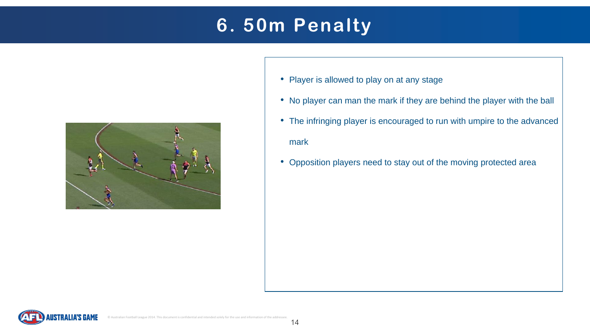## **6. 50m Penalty**





- Player is allowed to play on at any stage
- No player can man the mark if they are behind the player with the ball
- The infringing player is encouraged to run with umpire to the advanced mark
- Opposition players need to stay out of the moving protected area

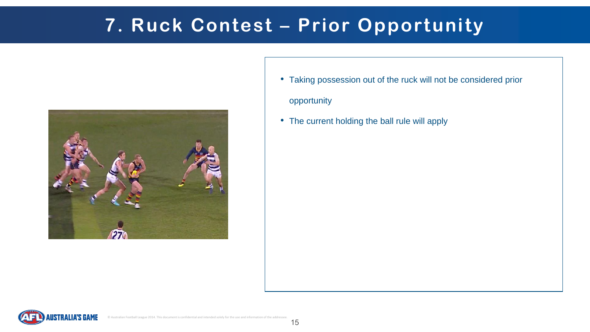- Taking possession out of the ruck will not be considered prior opportunity
- The current holding the ball rule will apply

# **7. Ruck Contest – Prior Opportunity**